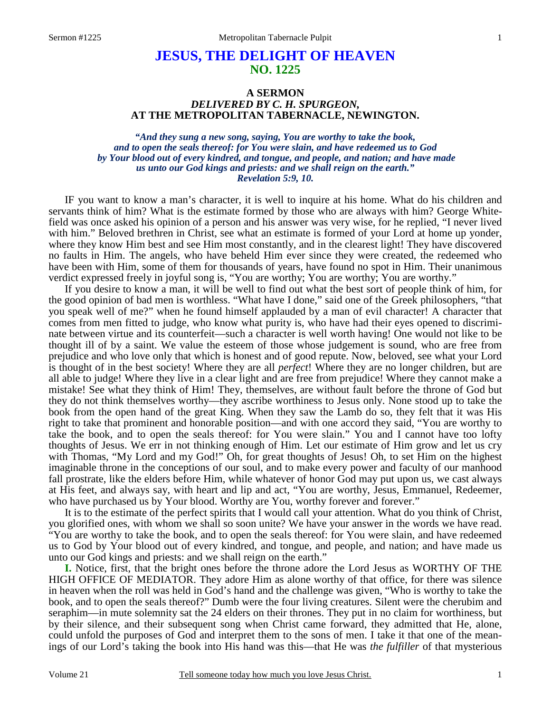# **JESUS, THE DELIGHT OF HEAVEN NO. 1225**

# **A SERMON**  *DELIVERED BY C. H. SPURGEON,*  **AT THE METROPOLITAN TABERNACLE, NEWINGTON.**

*"And they sung a new song, saying, You are worthy to take the book, and to open the seals thereof: for You were slain, and have redeemed us to God by Your blood out of every kindred, and tongue, and people, and nation; and have made us unto our God kings and priests: and we shall reign on the earth." Revelation 5:9, 10.* 

IF you want to know a man's character, it is well to inquire at his home. What do his children and servants think of him? What is the estimate formed by those who are always with him? George Whitefield was once asked his opinion of a person and his answer was very wise, for he replied, "I never lived with him." Beloved brethren in Christ, see what an estimate is formed of your Lord at home up yonder, where they know Him best and see Him most constantly, and in the clearest light! They have discovered no faults in Him. The angels, who have beheld Him ever since they were created, the redeemed who have been with Him, some of them for thousands of years, have found no spot in Him. Their unanimous verdict expressed freely in joyful song is, "You are worthy; You are worthy; You are worthy."

If you desire to know a man, it will be well to find out what the best sort of people think of him, for the good opinion of bad men is worthless. "What have I done," said one of the Greek philosophers, "that you speak well of me?" when he found himself applauded by a man of evil character! A character that comes from men fitted to judge, who know what purity is, who have had their eyes opened to discriminate between virtue and its counterfeit—such a character is well worth having! One would not like to be thought ill of by a saint. We value the esteem of those whose judgement is sound, who are free from prejudice and who love only that which is honest and of good repute. Now, beloved, see what your Lord is thought of in the best society! Where they are all *perfect*! Where they are no longer children, but are all able to judge! Where they live in a clear light and are free from prejudice! Where they cannot make a mistake! See what they think of Him! They, themselves, are without fault before the throne of God but they do not think themselves worthy—they ascribe worthiness to Jesus only. None stood up to take the book from the open hand of the great King. When they saw the Lamb do so, they felt that it was His right to take that prominent and honorable position—and with one accord they said, "You are worthy to take the book, and to open the seals thereof: for You were slain." You and I cannot have too lofty thoughts of Jesus. We err in not thinking enough of Him. Let our estimate of Him grow and let us cry with Thomas, "My Lord and my God!" Oh, for great thoughts of Jesus! Oh, to set Him on the highest imaginable throne in the conceptions of our soul, and to make every power and faculty of our manhood fall prostrate, like the elders before Him, while whatever of honor God may put upon us, we cast always at His feet, and always say, with heart and lip and act, "You are worthy, Jesus, Emmanuel, Redeemer, who have purchased us by Your blood. Worthy are You, worthy forever and forever."

It is to the estimate of the perfect spirits that I would call your attention. What do you think of Christ, you glorified ones, with whom we shall so soon unite? We have your answer in the words we have read. "You are worthy to take the book, and to open the seals thereof: for You were slain, and have redeemed us to God by Your blood out of every kindred, and tongue, and people, and nation; and have made us unto our God kings and priests: and we shall reign on the earth."

**I.** Notice, first, that the bright ones before the throne adore the Lord Jesus as WORTHY OF THE HIGH OFFICE OF MEDIATOR. They adore Him as alone worthy of that office, for there was silence in heaven when the roll was held in God's hand and the challenge was given, "Who is worthy to take the book, and to open the seals thereof?" Dumb were the four living creatures. Silent were the cherubim and seraphim—in mute solemnity sat the 24 elders on their thrones. They put in no claim for worthiness, but by their silence, and their subsequent song when Christ came forward, they admitted that He, alone, could unfold the purposes of God and interpret them to the sons of men. I take it that one of the meanings of our Lord's taking the book into His hand was this—that He was *the fulfiller* of that mysterious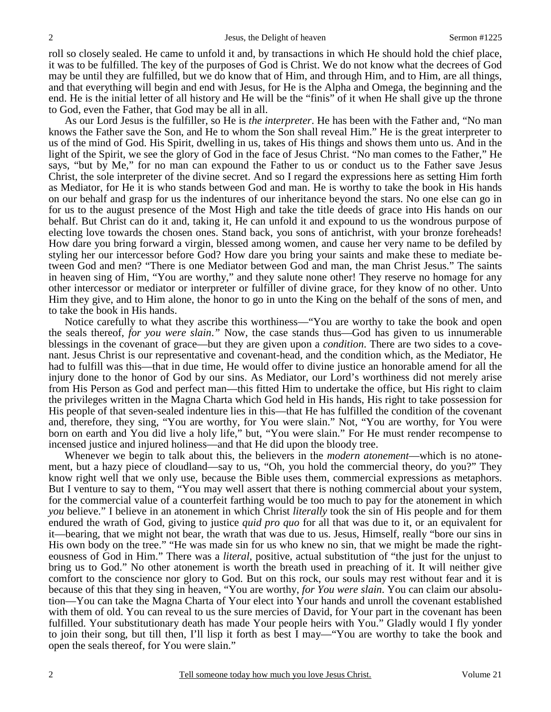roll so closely sealed. He came to unfold it and, by transactions in which He should hold the chief place, it was to be fulfilled. The key of the purposes of God is Christ. We do not know what the decrees of God may be until they are fulfilled, but we do know that of Him, and through Him, and to Him, are all things, and that everything will begin and end with Jesus, for He is the Alpha and Omega, the beginning and the end. He is the initial letter of all history and He will be the "finis" of it when He shall give up the throne to God, even the Father, that God may be all in all.

As our Lord Jesus is the fulfiller, so He is *the interpreter*. He has been with the Father and, "No man knows the Father save the Son, and He to whom the Son shall reveal Him." He is the great interpreter to us of the mind of God. His Spirit, dwelling in us, takes of His things and shows them unto us. And in the light of the Spirit, we see the glory of God in the face of Jesus Christ. "No man comes to the Father," He says, "but by Me," for no man can expound the Father to us or conduct us to the Father save Jesus Christ, the sole interpreter of the divine secret. And so I regard the expressions here as setting Him forth as Mediator, for He it is who stands between God and man. He is worthy to take the book in His hands on our behalf and grasp for us the indentures of our inheritance beyond the stars. No one else can go in for us to the august presence of the Most High and take the title deeds of grace into His hands on our behalf. But Christ can do it and, taking it, He can unfold it and expound to us the wondrous purpose of electing love towards the chosen ones. Stand back, you sons of antichrist, with your bronze foreheads! How dare you bring forward a virgin, blessed among women, and cause her very name to be defiled by styling her our intercessor before God? How dare you bring your saints and make these to mediate between God and men? "There is one Mediator between God and man, the man Christ Jesus." The saints in heaven sing of Him, "You are worthy," and they salute none other! They reserve no homage for any other intercessor or mediator or interpreter or fulfiller of divine grace, for they know of no other. Unto Him they give, and to Him alone, the honor to go in unto the King on the behalf of the sons of men, and to take the book in His hands.

Notice carefully to what they ascribe this worthiness—"You are worthy to take the book and open the seals thereof, *for you were slain*.*"* Now, the case stands thus—God has given to us innumerable blessings in the covenant of grace—but they are given upon a *condition*. There are two sides to a covenant. Jesus Christ is our representative and covenant-head, and the condition which, as the Mediator, He had to fulfill was this—that in due time, He would offer to divine justice an honorable amend for all the injury done to the honor of God by our sins. As Mediator, our Lord's worthiness did not merely arise from His Person as God and perfect man—this fitted Him to undertake the office, but His right to claim the privileges written in the Magna Charta which God held in His hands, His right to take possession for His people of that seven-sealed indenture lies in this—that He has fulfilled the condition of the covenant and, therefore, they sing, "You are worthy, for You were slain." Not, "You are worthy, for You were born on earth and You did live a holy life," but, "You were slain." For He must render recompense to incensed justice and injured holiness—and that He did upon the bloody tree.

Whenever we begin to talk about this, the believers in the *modern atonement*—which is no atonement, but a hazy piece of cloudland—say to us, "Oh, you hold the commercial theory, do you?" They know right well that we only use, because the Bible uses them, commercial expressions as metaphors. But I venture to say to them, "You may well assert that there is nothing commercial about your system, for the commercial value of a counterfeit farthing would be too much to pay for the atonement in which *you* believe." I believe in an atonement in which Christ *literally* took the sin of His people and for them endured the wrath of God, giving to justice *quid pro quo* for all that was due to it, or an equivalent for it—bearing, that we might not bear, the wrath that was due to us. Jesus, Himself, really "bore our sins in His own body on the tree." "He was made sin for us who knew no sin, that we might be made the righteousness of God in Him." There was a *literal*, positive, actual substitution of "the just for the unjust to bring us to God." No other atonement is worth the breath used in preaching of it. It will neither give comfort to the conscience nor glory to God. But on this rock, our souls may rest without fear and it is because of this that they sing in heaven, "You are worthy, *for You were slain*. You can claim our absolution—You can take the Magna Charta of Your elect into Your hands and unroll the covenant established with them of old. You can reveal to us the sure mercies of David, for Your part in the covenant has been fulfilled. Your substitutionary death has made Your people heirs with You." Gladly would I fly yonder to join their song, but till then, I'll lisp it forth as best I may—"You are worthy to take the book and open the seals thereof, for You were slain."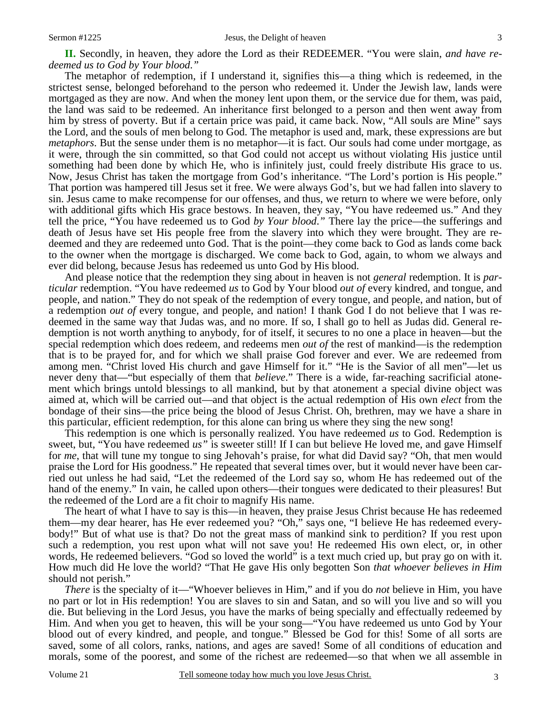**II.** Secondly, in heaven, they adore the Lord as their REDEEMER. "You were slain, *and have redeemed us to God by Your blood*.*"*

The metaphor of redemption, if I understand it, signifies this—a thing which is redeemed, in the strictest sense, belonged beforehand to the person who redeemed it. Under the Jewish law, lands were mortgaged as they are now. And when the money lent upon them, or the service due for them, was paid, the land was said to be redeemed. An inheritance first belonged to a person and then went away from him by stress of poverty. But if a certain price was paid, it came back. Now, "All souls are Mine" says the Lord, and the souls of men belong to God. The metaphor is used and, mark, these expressions are but *metaphors*. But the sense under them is no metaphor—it is fact. Our souls had come under mortgage, as it were, through the sin committed, so that God could not accept us without violating His justice until something had been done by which He, who is infinitely just, could freely distribute His grace to us. Now, Jesus Christ has taken the mortgage from God's inheritance. "The Lord's portion is His people." That portion was hampered till Jesus set it free. We were always God's, but we had fallen into slavery to sin. Jesus came to make recompense for our offenses, and thus, we return to where we were before, only with additional gifts which His grace bestows. In heaven, they say, "You have redeemed us." And they tell the price, "You have redeemed us to God *by Your blood*.*"* There lay the price—the sufferings and death of Jesus have set His people free from the slavery into which they were brought. They are redeemed and they are redeemed unto God. That is the point—they come back to God as lands come back to the owner when the mortgage is discharged. We come back to God, again, to whom we always and ever did belong, because Jesus has redeemed us unto God by His blood.

And please notice that the redemption they sing about in heaven is not *general* redemption. It is *particular* redemption. "You have redeemed *us* to God by Your blood *out of* every kindred, and tongue, and people, and nation." They do not speak of the redemption of every tongue, and people, and nation, but of a redemption *out of* every tongue, and people, and nation! I thank God I do not believe that I was redeemed in the same way that Judas was, and no more. If so, I shall go to hell as Judas did. General redemption is not worth anything to anybody, for of itself, it secures to no one a place in heaven—but the special redemption which does redeem, and redeems men *out of* the rest of mankind—is the redemption that is to be prayed for, and for which we shall praise God forever and ever. We are redeemed from among men. "Christ loved His church and gave Himself for it." "He is the Savior of all men"—let us never deny that—"but especially of them that *believe*." There is a wide, far-reaching sacrificial atonement which brings untold blessings to all mankind, but by that atonement a special divine object was aimed at, which will be carried out—and that object is the actual redemption of His own *elect* from the bondage of their sins—the price being the blood of Jesus Christ. Oh, brethren, may we have a share in this particular, efficient redemption, for this alone can bring us where they sing the new song!

This redemption is one which is personally realized. You have redeemed *us* to God. Redemption is sweet, but, "You have redeemed *us"* is sweeter still! If I can but believe He loved me, and gave Himself for *me*, that will tune my tongue to sing Jehovah's praise, for what did David say? "Oh, that men would praise the Lord for His goodness." He repeated that several times over, but it would never have been carried out unless he had said, "Let the redeemed of the Lord say so, whom He has redeemed out of the hand of the enemy." In vain, he called upon others—their tongues were dedicated to their pleasures! But the redeemed of the Lord are a fit choir to magnify His name.

The heart of what I have to say is this—in heaven, they praise Jesus Christ because He has redeemed them—my dear hearer, has He ever redeemed you? "Oh," says one, "I believe He has redeemed everybody!" But of what use is that? Do not the great mass of mankind sink to perdition? If you rest upon such a redemption, you rest upon what will not save you! He redeemed His own elect, or, in other words, He redeemed believers. "God so loved the world" is a text much cried up, but pray go on with it. How much did He love the world? "That He gave His only begotten Son *that whoever believes in Him*  should not perish."

*There* is the specialty of it—"Whoever believes in Him," and if you do *not* believe in Him, you have no part or lot in His redemption! You are slaves to sin and Satan, and so will you live and so will you die. But believing in the Lord Jesus, you have the marks of being specially and effectually redeemed by Him. And when you get to heaven, this will be your song—"You have redeemed us unto God by Your blood out of every kindred, and people, and tongue." Blessed be God for this! Some of all sorts are saved, some of all colors, ranks, nations, and ages are saved! Some of all conditions of education and morals, some of the poorest, and some of the richest are redeemed—so that when we all assemble in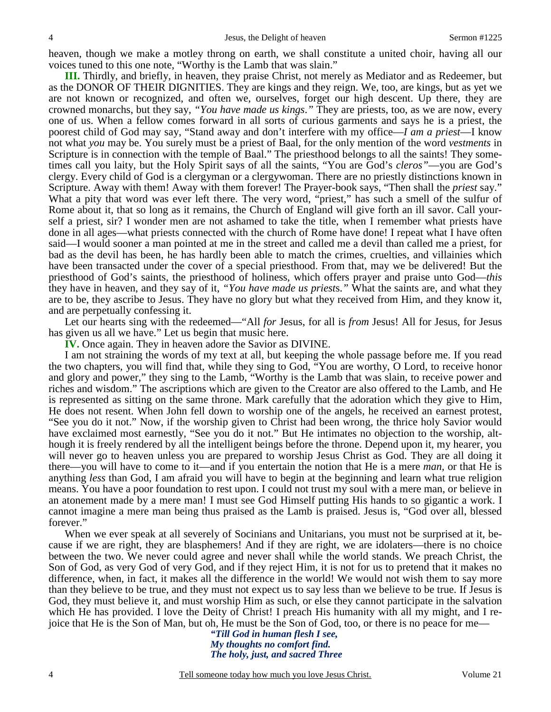heaven, though we make a motley throng on earth, we shall constitute a united choir, having all our voices tuned to this one note, "Worthy is the Lamb that was slain."

**III.** Thirdly, and briefly, in heaven, they praise Christ, not merely as Mediator and as Redeemer, but as the DONOR OF THEIR DIGNITIES. They are kings and they reign. We, too, are kings, but as yet we are not known or recognized, and often we, ourselves, forget our high descent. Up there, they are crowned monarchs, but they say, *"You have made us kings*.*"* They are priests, too, as we are now, every one of us. When a fellow comes forward in all sorts of curious garments and says he is a priest, the poorest child of God may say, "Stand away and don't interfere with my office—*I am a priest*—I know not what *you* may be. You surely must be a priest of Baal, for the only mention of the word *vestments* in Scripture is in connection with the temple of Baal." The priesthood belongs to all the saints! They sometimes call you laity, but the Holy Spirit says of all the saints, "You are God's *cleros"*—you are God's clergy. Every child of God is a clergyman or a clergywoman. There are no priestly distinctions known in Scripture. Away with them! Away with them forever! The Prayer-book says, "Then shall the *priest* say." What a pity that word was ever left there. The very word, "priest," has such a smell of the sulfur of Rome about it, that so long as it remains, the Church of England will give forth an ill savor. Call yourself a priest, sir? I wonder men are not ashamed to take the title, when I remember what priests have done in all ages—what priests connected with the church of Rome have done! I repeat what I have often said—I would sooner a man pointed at me in the street and called me a devil than called me a priest, for bad as the devil has been, he has hardly been able to match the crimes, cruelties, and villainies which have been transacted under the cover of a special priesthood. From that, may we be delivered! But the priesthood of God's saints, the priesthood of holiness, which offers prayer and praise unto God—*this* they have in heaven, and they say of it, *"You have made us priest*s.*"* What the saints are, and what they are to be, they ascribe to Jesus. They have no glory but what they received from Him, and they know it, and are perpetually confessing it.

Let our hearts sing with the redeemed—"All *for* Jesus, for all is *from* Jesus! All for Jesus, for Jesus has given us all we have." Let us begin that music here.

**IV.** Once again. They in heaven adore the Savior as DIVINE.

I am not straining the words of my text at all, but keeping the whole passage before me. If you read the two chapters, you will find that, while they sing to God, "You are worthy, O Lord, to receive honor and glory and power," they sing to the Lamb, "Worthy is the Lamb that was slain, to receive power and riches and wisdom." The ascriptions which are given to the Creator are also offered to the Lamb, and He is represented as sitting on the same throne. Mark carefully that the adoration which they give to Him, He does not resent. When John fell down to worship one of the angels, he received an earnest protest, "See you do it not." Now, if the worship given to Christ had been wrong, the thrice holy Savior would have exclaimed most earnestly, "See you do it not." But He intimates no objection to the worship, although it is freely rendered by all the intelligent beings before the throne. Depend upon it, my hearer, you will never go to heaven unless you are prepared to worship Jesus Christ as God. They are all doing it there—you will have to come to it—and if you entertain the notion that He is a mere *man,* or that He is anything *less* than God, I am afraid you will have to begin at the beginning and learn what true religion means. You have a poor foundation to rest upon. I could not trust my soul with a mere man, or believe in an atonement made by a mere man! I must see God Himself putting His hands to so gigantic a work. I cannot imagine a mere man being thus praised as the Lamb is praised. Jesus is, "God over all, blessed forever."

When we ever speak at all severely of Socinians and Unitarians, you must not be surprised at it, because if we are right, they are blasphemers! And if they are right, we are idolaters—there is no choice between the two. We never could agree and never shall while the world stands. We preach Christ, the Son of God, as very God of very God, and if they reject Him, it is not for us to pretend that it makes no difference, when, in fact, it makes all the difference in the world! We would not wish them to say more than they believe to be true, and they must not expect us to say less than we believe to be true. If Jesus is God, they must believe it, and must worship Him as such, or else they cannot participate in the salvation which He has provided. I love the Deity of Christ! I preach His humanity with all my might, and I rejoice that He is the Son of Man, but oh, He must be the Son of God, too, or there is no peace for me—

> *"Till God in human flesh I see, My thoughts no comfort find. The holy, just, and sacred Three*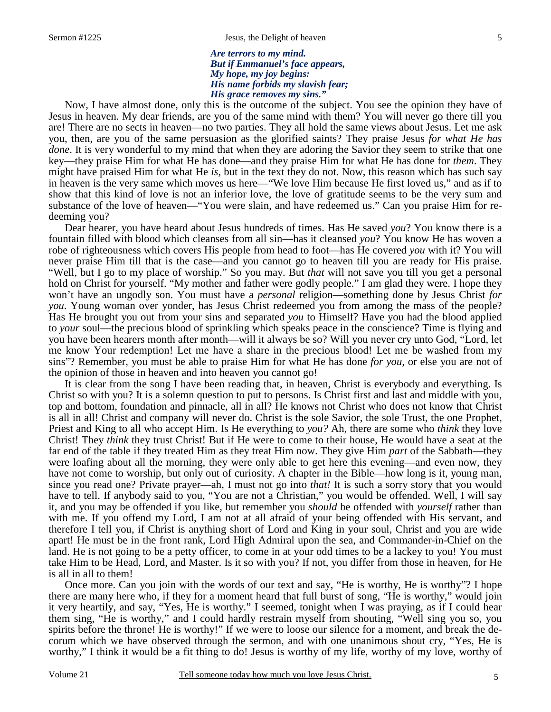*Are terrors to my mind. But if Emmanuel's face appears, My hope, my joy begins: His name forbids my slavish fear; His grace removes my sins."*

Now, I have almost done, only this is the outcome of the subject. You see the opinion they have of Jesus in heaven. My dear friends, are you of the same mind with them? You will never go there till you are! There are no sects in heaven—no two parties. They all hold the same views about Jesus. Let me ask you, then, are you of the same persuasion as the glorified saints? They praise Jesus *for what He has done*. It is very wonderful to my mind that when they are adoring the Savior they seem to strike that one key—they praise Him for what He has done—and they praise Him for what He has done for *them*. They might have praised Him for what He *is,* but in the text they do not. Now, this reason which has such say in heaven is the very same which moves us here—"We love Him because He first loved us," and as if to show that this kind of love is not an inferior love, the love of gratitude seems to be the very sum and substance of the love of heaven—"You were slain, and have redeemed us." Can you praise Him for redeeming you?

Dear hearer, you have heard about Jesus hundreds of times. Has He saved *you*? You know there is a fountain filled with blood which cleanses from all sin—has it cleansed *you*? You know He has woven a robe of righteousness which covers His people from head to foot—has He covered *you* with it? You will never praise Him till that is the case—and you cannot go to heaven till you are ready for His praise. "Well, but I go to my place of worship." So you may. But *that* will not save you till you get a personal hold on Christ for yourself. "My mother and father were godly people." I am glad they were. I hope they won't have an ungodly son. You must have a *personal* religion—something done by Jesus Christ *for you*. Young woman over yonder, has Jesus Christ redeemed you from among the mass of the people? Has He brought you out from your sins and separated *you* to Himself? Have you had the blood applied to *your* soul—the precious blood of sprinkling which speaks peace in the conscience? Time is flying and you have been hearers month after month—will it always be so? Will you never cry unto God, "Lord, let me know Your redemption! Let me have a share in the precious blood! Let me be washed from my sins"? Remember, you must be able to praise Him for what He has done *for you,* or else you are not of the opinion of those in heaven and into heaven you cannot go!

It is clear from the song I have been reading that, in heaven, Christ is everybody and everything. Is Christ so with you? It is a solemn question to put to persons. Is Christ first and last and middle with you, top and bottom, foundation and pinnacle, all in all? He knows not Christ who does not know that Christ is all in all! Christ and company will never do. Christ is the sole Savior, the sole Trust, the one Prophet, Priest and King to all who accept Him. Is He everything to *you?* Ah, there are some who *think* they love Christ! They *think* they trust Christ! But if He were to come to their house, He would have a seat at the far end of the table if they treated Him as they treat Him now. They give Him *part* of the Sabbath—they were loafing about all the morning, they were only able to get here this evening—and even now, they have not come to worship, but only out of curiosity. A chapter in the Bible—how long is it, young man, since you read one? Private prayer—ah, I must not go into *that!* It is such a sorry story that you would have to tell. If anybody said to you, "You are not a Christian," you would be offended. Well, I will say it, and you may be offended if you like, but remember you *should* be offended with *yourself* rather than with me. If you offend my Lord, I am not at all afraid of your being offended with His servant, and therefore I tell you, if Christ is anything short of Lord and King in your soul, Christ and you are wide apart! He must be in the front rank, Lord High Admiral upon the sea, and Commander-in-Chief on the land. He is not going to be a petty officer, to come in at your odd times to be a lackey to you! You must take Him to be Head, Lord, and Master. Is it so with you? If not, you differ from those in heaven, for He is all in all to them!

Once more. Can you join with the words of our text and say, "He is worthy, He is worthy"? I hope there are many here who, if they for a moment heard that full burst of song, "He is worthy," would join it very heartily, and say, "Yes, He is worthy." I seemed, tonight when I was praying, as if I could hear them sing, "He is worthy," and I could hardly restrain myself from shouting, "Well sing you so, you spirits before the throne! He is worthy!" If we were to loose our silence for a moment, and break the decorum which we have observed through the sermon, and with one unanimous shout cry, "Yes, He is worthy," I think it would be a fit thing to do! Jesus is worthy of my life, worthy of my love, worthy of